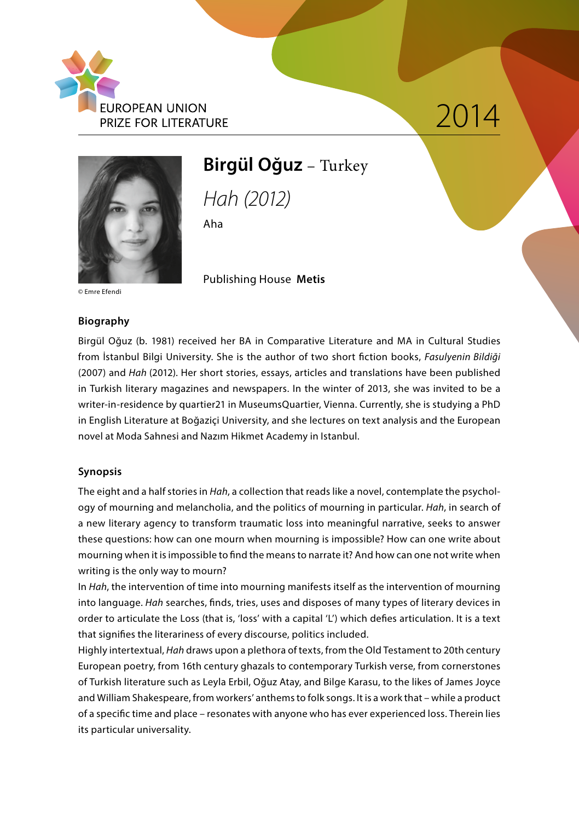

# $2012$



### **Birgül Oğuz** – Turkey

*Hah (2012)*

Publishing House **Metis**

Aha

© Emre Efendi

#### **Biography**

Birgül Oğuz (b. 1981) received her BA in Comparative Literature and MA in Cultural Studies from İstanbul Bilgi University. She is the author of two short fiction books, *Fasulyenin Bildiği*  (2007) and *Hah* (2012). Her short stories, essays, articles and translations have been published in Turkish literary magazines and newspapers. In the winter of 2013, she was invited to be a writer-in-residence by quartier21 in MuseumsQuartier, Vienna. Currently, she is studying a PhD in English Literature at Boğaziçi University, and she lectures on text analysis and the European novel at Moda Sahnesi and Nazım Hikmet Academy in Istanbul.

#### **Synopsis**

The eight and a half stories in *Hah*, a collection that reads like a novel, contemplate the psychology of mourning and melancholia, and the politics of mourning in particular. *Hah*, in search of a new literary agency to transform traumatic loss into meaningful narrative, seeks to answer these questions: how can one mourn when mourning is impossible? How can one write about mourning when it is impossible to find the means to narrate it? And how can one not write when writing is the only way to mourn?

In *Hah*, the intervention of time into mourning manifests itself as the intervention of mourning into language. *Hah* searches, finds, tries, uses and disposes of many types of literary devices in order to articulate the Loss (that is, 'loss' with a capital 'L') which defies articulation. It is a text that signifies the literariness of every discourse, politics included.

Highly intertextual, *Hah* draws upon a plethora of texts, from the Old Testament to 20th century European poetry, from 16th century ghazals to contemporary Turkish verse, from cornerstones of Turkish literature such as Leyla Erbil, Oğuz Atay, and Bilge Karasu, to the likes of James Joyce and William Shakespeare, from workers' anthems to folk songs. It is a work that – while a product of a specific time and place – resonates with anyone who has ever experienced loss. Therein lies its particular universality.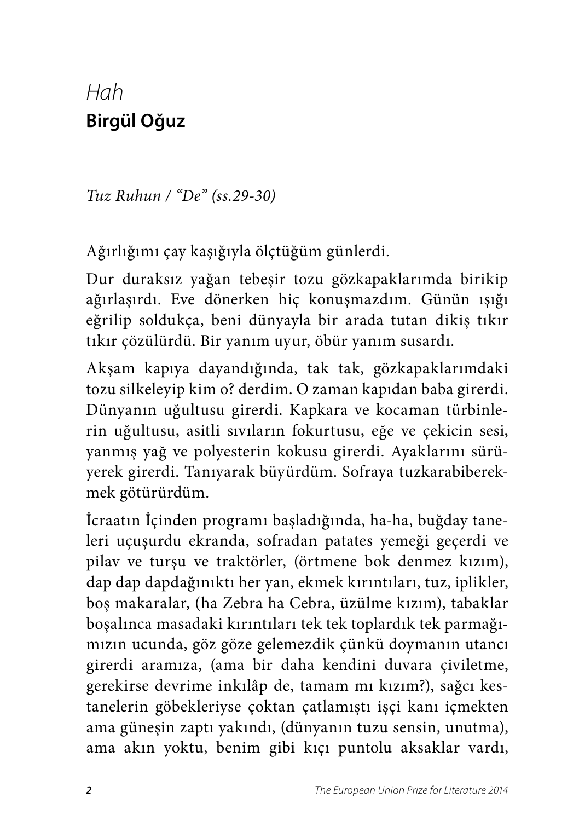## *Hah*  **Birgül Oğuz**

*Tuz Ruhun / "De" (ss.29-30)*

Ağırlığımı çay kaşığıyla ölçtüğüm günlerdi.

Dur duraksız yağan tebeşir tozu gözkapaklarımda birikip ağırlaşırdı. Eve dönerken hiç konuşmazdım. Günün ışığı eğrilip soldukça, beni dünyayla bir arada tutan dikiş tıkır tıkır çözülürdü. Bir yanım uyur, öbür yanım susardı.

Akşam kapıya dayandığında, tak tak, gözkapaklarımdaki tozu silkeleyip kim o? derdim. O zaman kapıdan baba girerdi. Dünyanın uğultusu girerdi. Kapkara ve kocaman türbinlerin uğultusu, asitli sıvıların fokurtusu, eğe ve çekicin sesi, yanmış yağ ve polyesterin kokusu girerdi. Ayaklarını sürüyerek girerdi. Tanıyarak büyürdüm. Sofraya tuzkarabiberekmek götürürdüm.

İcraatın İçinden programı başladığında, ha-ha, buğday taneleri uçuşurdu ekranda, sofradan patates yemeği geçerdi ve pilav ve turşu ve traktörler, (örtmene bok denmez kızım), dap dap dapdağınıktı her yan, ekmek kırıntıları, tuz, iplikler, boş makaralar, (ha Zebra ha Cebra, üzülme kızım), tabaklar boşalınca masadaki kırıntıları tek tek toplardık tek parmağımızın ucunda, göz göze gelemezdik çünkü doymanın utancı girerdi aramıza, (ama bir daha kendini duvara çiviletme, gerekirse devrime inkılâp de, tamam mı kızım?), sağcı kestanelerin göbekleriyse çoktan çatlamıştı işçi kanı içmekten ama güneşin zaptı yakındı, (dünyanın tuzu sensin, unutma), ama akın yoktu, benim gibi kıçı puntolu aksaklar vardı,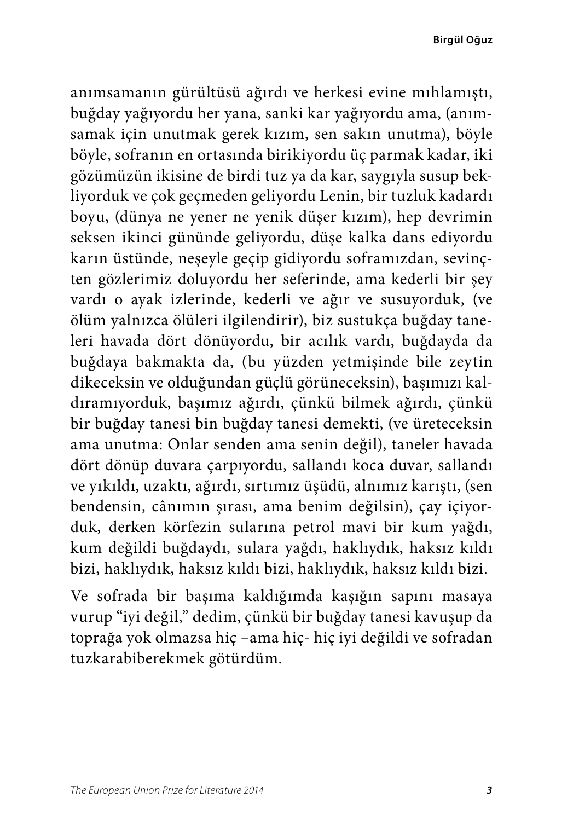**Birgül Oğuz**

anımsamanın gürültüsü ağırdı ve herkesi evine mıhlamıştı, buğday yağıyordu her yana, sanki kar yağıyordu ama, (anımsamak için unutmak gerek kızım, sen sakın unutma), böyle böyle, sofranın en ortasında birikiyordu üç parmak kadar, iki gözümüzün ikisine de birdi tuz ya da kar, saygıyla susup bekliyorduk ve çok geçmeden geliyordu Lenin, bir tuzluk kadardı boyu, (dünya ne yener ne yenik düşer kızım), hep devrimin seksen ikinci gününde geliyordu, düşe kalka dans ediyordu karın üstünde, neşeyle geçip gidiyordu soframızdan, sevinçten gözlerimiz doluyordu her seferinde, ama kederli bir şey vardı o ayak izlerinde, kederli ve ağır ve susuyorduk, (ve ölüm yalnızca ölüleri ilgilendirir), biz sustukça buğday taneleri havada dört dönüyordu, bir acılık vardı, buğdayda da buğdaya bakmakta da, (bu yüzden yetmişinde bile zeytin dikeceksin ve olduğundan güçlü görüneceksin), başımızı kaldıramıyorduk, başımız ağırdı, çünkü bilmek ağırdı, çünkü bir buğday tanesi bin buğday tanesi demekti, (ve üreteceksin ama unutma: Onlar senden ama senin değil), taneler havada dört dönüp duvara çarpıyordu, sallandı koca duvar, sallandı ve yıkıldı, uzaktı, ağırdı, sırtımız üşüdü, alnımız karıştı, (sen bendensin, cânımın şırası, ama benim değilsin), çay içiyorduk, derken körfezin sularına petrol mavi bir kum yağdı, kum değildi buğdaydı, sulara yağdı, haklıydık, haksız kıldı bizi, haklıydık, haksız kıldı bizi, haklıydık, haksız kıldı bizi.

Ve sofrada bir başıma kaldığımda kaşığın sapını masaya vurup "iyi değil," dedim, çünkü bir buğday tanesi kavuşup da toprağa yok olmazsa hiç –ama hiç- hiç iyi değildi ve sofradan tuzkarabiberekmek götürdüm.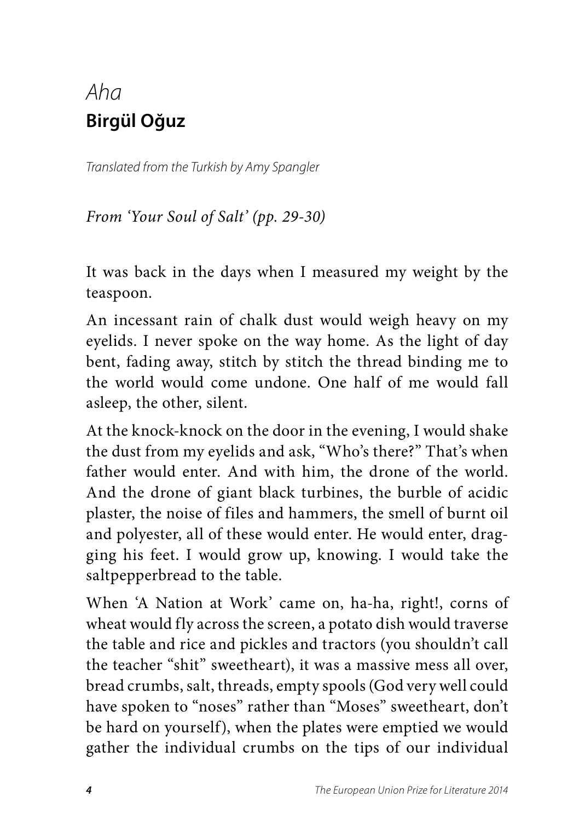## *Aha* **Birgül Oğuz**

*Translated from the Turkish by Amy Spangler*

*From 'Your Soul of Salt' (pp. 29-30)*

It was back in the days when I measured my weight by the teaspoon.

An incessant rain of chalk dust would weigh heavy on my eyelids. I never spoke on the way home. As the light of day bent, fading away, stitch by stitch the thread binding me to the world would come undone. One half of me would fall asleep, the other, silent.

At the knock-knock on the door in the evening, I would shake the dust from my eyelids and ask, "Who's there?" That's when father would enter. And with him, the drone of the world. And the drone of giant black turbines, the burble of acidic plaster, the noise of files and hammers, the smell of burnt oil and polyester, all of these would enter. He would enter, dragging his feet. I would grow up, knowing. I would take the saltpepperbread to the table.

When 'A Nation at Work' came on, ha-ha, right!, corns of wheat would fly across the screen, a potato dish would traverse the table and rice and pickles and tractors (you shouldn't call the teacher "shit" sweetheart), it was a massive mess all over, bread crumbs, salt, threads, empty spools (God very well could have spoken to "noses" rather than "Moses" sweetheart, don't be hard on yourself), when the plates were emptied we would gather the individual crumbs on the tips of our individual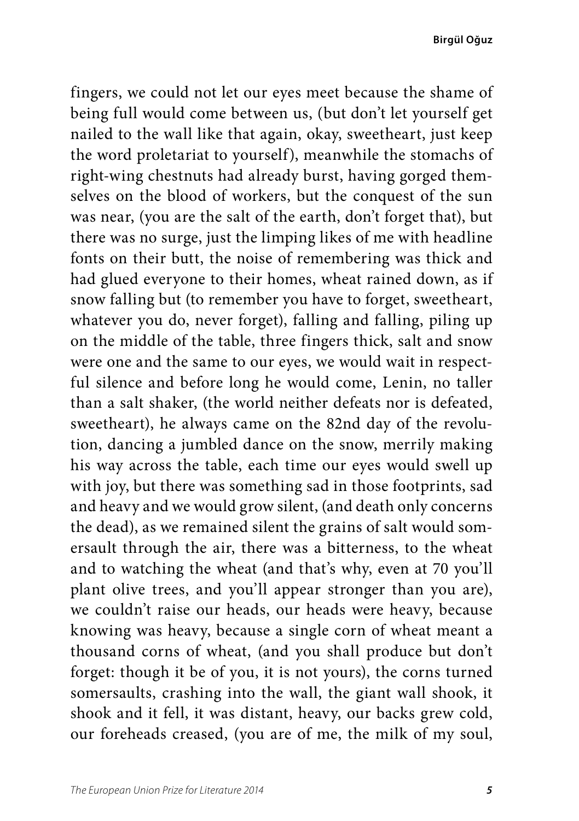**Birgül Oğuz**

fingers, we could not let our eyes meet because the shame of being full would come between us, (but don't let yourself get nailed to the wall like that again, okay, sweetheart, just keep the word proletariat to yourself), meanwhile the stomachs of right-wing chestnuts had already burst, having gorged themselves on the blood of workers, but the conquest of the sun was near, (you are the salt of the earth, don't forget that), but there was no surge, just the limping likes of me with headline fonts on their butt, the noise of remembering was thick and had glued everyone to their homes, wheat rained down, as if snow falling but (to remember you have to forget, sweetheart, whatever you do, never forget), falling and falling, piling up on the middle of the table, three fingers thick, salt and snow were one and the same to our eyes, we would wait in respectful silence and before long he would come, Lenin, no taller than a salt shaker, (the world neither defeats nor is defeated, sweetheart), he always came on the 82nd day of the revolution, dancing a jumbled dance on the snow, merrily making his way across the table, each time our eyes would swell up with joy, but there was something sad in those footprints, sad and heavy and we would grow silent, (and death only concerns the dead), as we remained silent the grains of salt would somersault through the air, there was a bitterness, to the wheat and to watching the wheat (and that's why, even at 70 you'll plant olive trees, and you'll appear stronger than you are), we couldn't raise our heads, our heads were heavy, because knowing was heavy, because a single corn of wheat meant a thousand corns of wheat, (and you shall produce but don't forget: though it be of you, it is not yours), the corns turned somersaults, crashing into the wall, the giant wall shook, it shook and it fell, it was distant, heavy, our backs grew cold, our foreheads creased, (you are of me, the milk of my soul,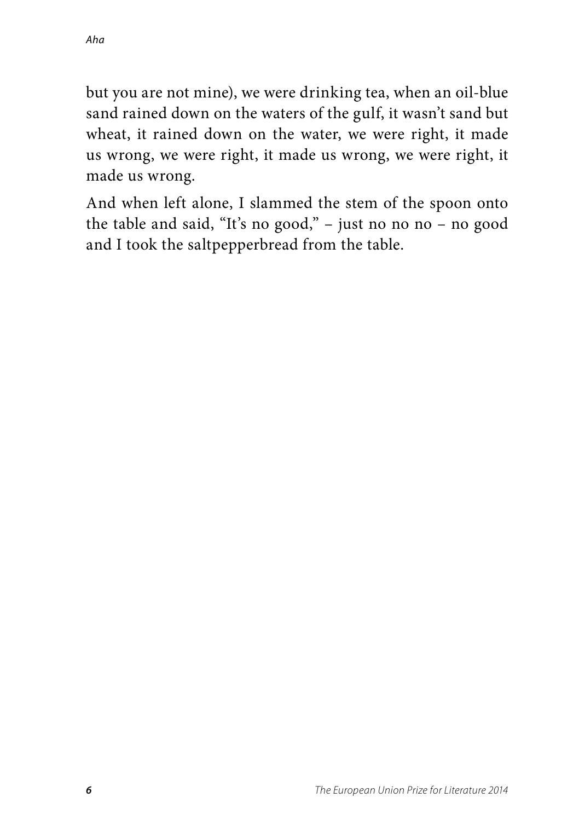but you are not mine), we were drinking tea, when an oil-blue sand rained down on the waters of the gulf, it wasn't sand but wheat, it rained down on the water, we were right, it made us wrong, we were right, it made us wrong, we were right, it made us wrong.

And when left alone, I slammed the stem of the spoon onto the table and said, "It's no good," – just no no no – no good and I took the saltpepperbread from the table.